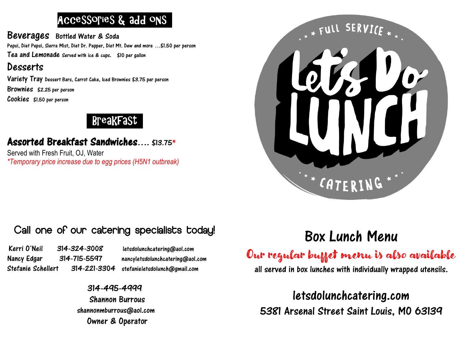## Accessories & add ons .

Beverages Bottled Water & Soda Pepsi, Diet Pepsi, Sierra Mist, Diet Dr. Pepper, Diet Mt. Dew and more …\$1.50 per person Tea and Lemonade Served with ice & cups. \$10 per gallon

### Desserts

Variety Tray Dessert Bars, Carrot Cake, Iced Brownies \$3.75 per person Brownies \$2.25 per person Cookies \$1.50 per person

### , Breakfast .

### Assorted Breakfast Sandwiches…. \$13.75\*

Served with Fresh Fruit, OJ, Water *\*Temporary price increase due to egg prices (H5N1 outbreak)*



## Call one of our catering specialists today!

Kerri O'Neil 314-324-3008 letsdolunchcatering@aol.com Nancy Edgar 314-715-5597 nancyletsdolunchcatering@aol.com Stefanie Schellert 314-221-3304 stefanieletsdolunch@gmail.com

314-495-4999 Shannon Burrous shannonmburrous@aol.com Owner & Operator

# Box Lunch Menu

Our regular buffet menu is also available

all served in box lunches with individually wrapped utensils.

letsdolunchcatering.com 5381 Arsenal Street Saint Louis, MO 63139